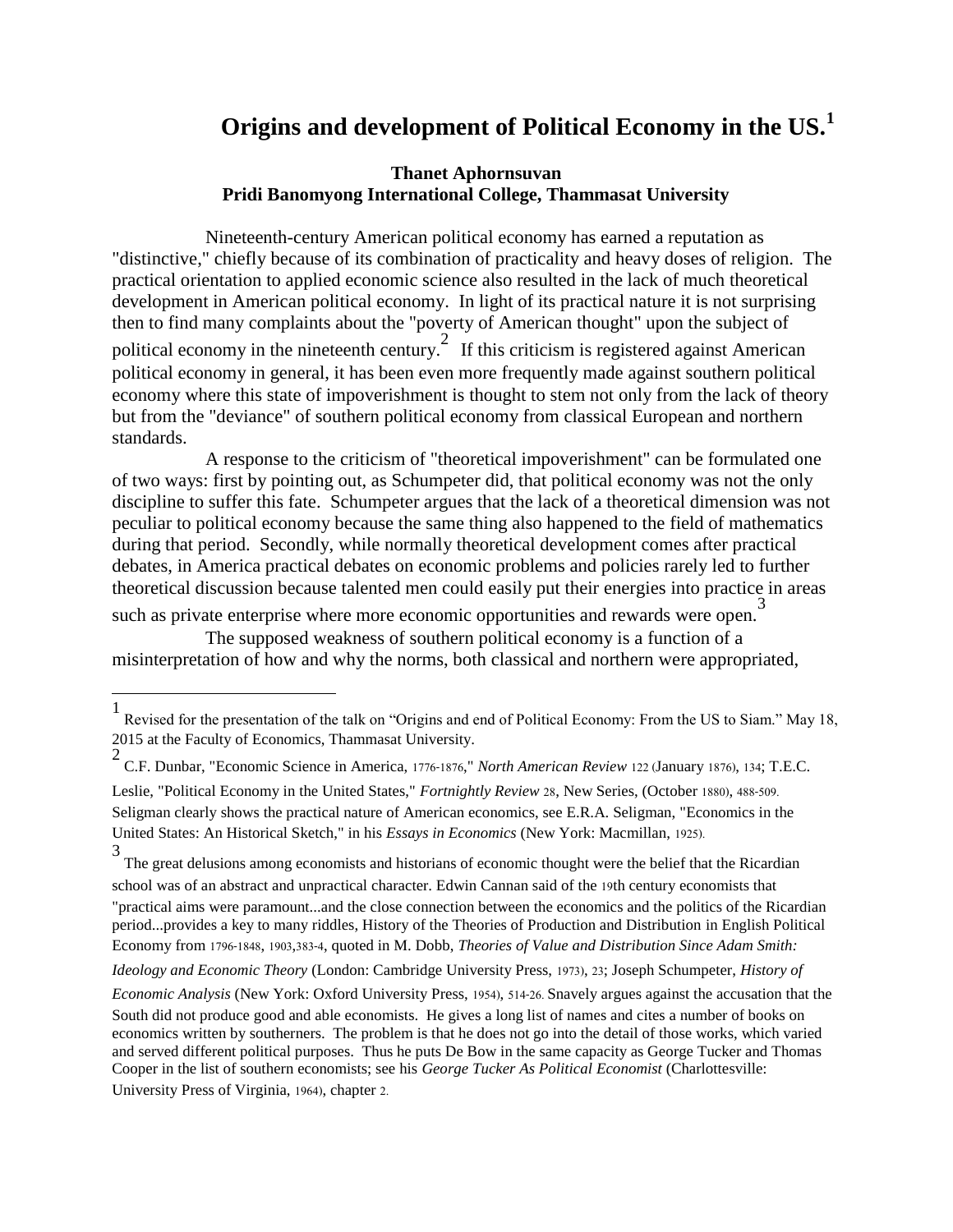# **Origins and development of Political Economy in the US.<sup>1</sup>**

## **Thanet Aphornsuvan Pridi Banomyong International College, Thammasat University**

 Nineteenth-century American political economy has earned a reputation as "distinctive," chiefly because of its combination of practicality and heavy doses of religion. The practical orientation to applied economic science also resulted in the lack of much theoretical development in American political economy. In light of its practical nature it is not surprising then to find many complaints about the "poverty of American thought" upon the subject of political economy in the nineteenth century.<sup>2</sup> If this criticism is registered against American political economy in general, it has been even more frequently made against southern political economy where this state of impoverishment is thought to stem not only from the lack of theory but from the "deviance" of southern political economy from classical European and northern standards.

 A response to the criticism of "theoretical impoverishment" can be formulated one of two ways: first by pointing out, as Schumpeter did, that political economy was not the only discipline to suffer this fate. Schumpeter argues that the lack of a theoretical dimension was not peculiar to political economy because the same thing also happened to the field of mathematics during that period. Secondly, while normally theoretical development comes after practical debates, in America practical debates on economic problems and policies rarely led to further theoretical discussion because talented men could easily put their energies into practice in areas

such as private enterprise where more economic opportunities and rewards were open.<sup>3</sup>

 $\overline{\phantom{a}}$ 

 The supposed weakness of southern political economy is a function of a misinterpretation of how and why the norms, both classical and northern were appropriated,

*Ideology and Economic Theory* (London: Cambridge University Press, 1973), 23; Joseph Schumpeter, *History of* 

<sup>1</sup> Revised for the presentation of the talk on "Origins and end of Political Economy: From the US to Siam." May 18, 2015 at the Faculty of Economics, Thammasat University. 2

C.F. Dunbar, "Economic Science in America, 1776-1876," *North American Review* 122 (January 1876), 134; T.E.C. Leslie, "Political Economy in the United States," *Fortnightly Review* 28, New Series, (October 1880), 488-509. Seligman clearly shows the practical nature of American economics, see E.R.A. Seligman, "Economics in the United States: An Historical Sketch," in his *Essays in Economics* (New York: Macmillan, 1925).

<sup>3</sup> The great delusions among economists and historians of economic thought were the belief that the Ricardian school was of an abstract and unpractical character. Edwin Cannan said of the 19th century economists that "practical aims were paramount...and the close connection between the economics and the politics of the Ricardian period...provides a key to many riddles, History of the Theories of Production and Distribution in English Political Economy from 1796-1848, 1903,383-4, quoted in M. Dobb, *Theories of Value and Distribution Since Adam Smith:* 

*Economic Analysis* (New York: Oxford University Press, 1954), 514-26. Snavely argues against the accusation that the South did not produce good and able economists. He gives a long list of names and cites a number of books on economics written by southerners. The problem is that he does not go into the detail of those works, which varied and served different political purposes. Thus he puts De Bow in the same capacity as George Tucker and Thomas Cooper in the list of southern economists; see his *George Tucker As Political Economist* (Charlottesville: University Press of Virginia, 1964), chapter 2.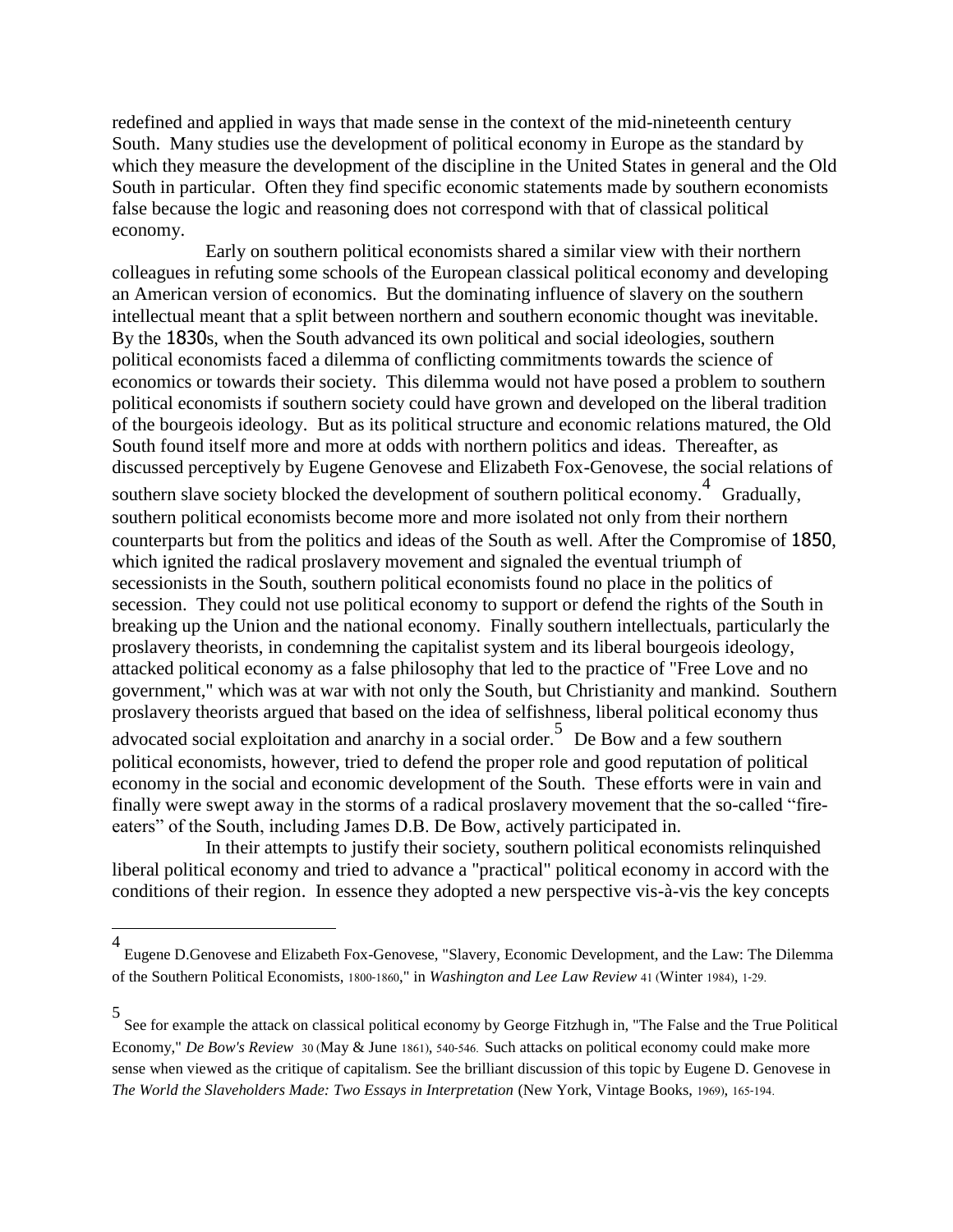redefined and applied in ways that made sense in the context of the mid-nineteenth century South. Many studies use the development of political economy in Europe as the standard by which they measure the development of the discipline in the United States in general and the Old South in particular. Often they find specific economic statements made by southern economists false because the logic and reasoning does not correspond with that of classical political economy.

 Early on southern political economists shared a similar view with their northern colleagues in refuting some schools of the European classical political economy and developing an American version of economics. But the dominating influence of slavery on the southern intellectual meant that a split between northern and southern economic thought was inevitable. By the 1830s, when the South advanced its own political and social ideologies, southern political economists faced a dilemma of conflicting commitments towards the science of economics or towards their society. This dilemma would not have posed a problem to southern political economists if southern society could have grown and developed on the liberal tradition of the bourgeois ideology. But as its political structure and economic relations matured, the Old South found itself more and more at odds with northern politics and ideas. Thereafter, as discussed perceptively by Eugene Genovese and Elizabeth Fox-Genovese, the social relations of southern slave society blocked the development of southern political economy.<sup>4</sup> Gradually, southern political economists become more and more isolated not only from their northern counterparts but from the politics and ideas of the South as well. After the Compromise of 1850, which ignited the radical proslavery movement and signaled the eventual triumph of secessionists in the South, southern political economists found no place in the politics of secession. They could not use political economy to support or defend the rights of the South in breaking up the Union and the national economy. Finally southern intellectuals, particularly the proslavery theorists, in condemning the capitalist system and its liberal bourgeois ideology, attacked political economy as a false philosophy that led to the practice of "Free Love and no government," which was at war with not only the South, but Christianity and mankind. Southern proslavery theorists argued that based on the idea of selfishness, liberal political economy thus

advocated social exploitation and anarchy in a social order. De Bow and a few southern political economists, however, tried to defend the proper role and good reputation of political economy in the social and economic development of the South. These efforts were in vain and finally were swept away in the storms of a radical proslavery movement that the so-called "fireeaters" of the South, including James D.B. De Bow, actively participated in.

 In their attempts to justify their society, southern political economists relinquished liberal political economy and tried to advance a "practical" political economy in accord with the conditions of their region. In essence they adopted a new perspective vis-à-vis the key concepts

 $\overline{a}$ 

<sup>4</sup> Eugene D.Genovese and Elizabeth Fox-Genovese, "Slavery, Economic Development, and the Law: The Dilemma of the Southern Political Economists, 1800-1860," in *Washington and Lee Law Review* 41 (Winter 1984), 1-29.

<sup>5</sup> See for example the attack on classical political economy by George Fitzhugh in, "The False and the True Political Economy," *De Bow's Review* 30 (May & June 1861), 540-546. Such attacks on political economy could make more sense when viewed as the critique of capitalism. See the brilliant discussion of this topic by Eugene D. Genovese in *The World the Slaveholders Made: Two Essays in Interpretation* (New York, Vintage Books, 1969), 165-194.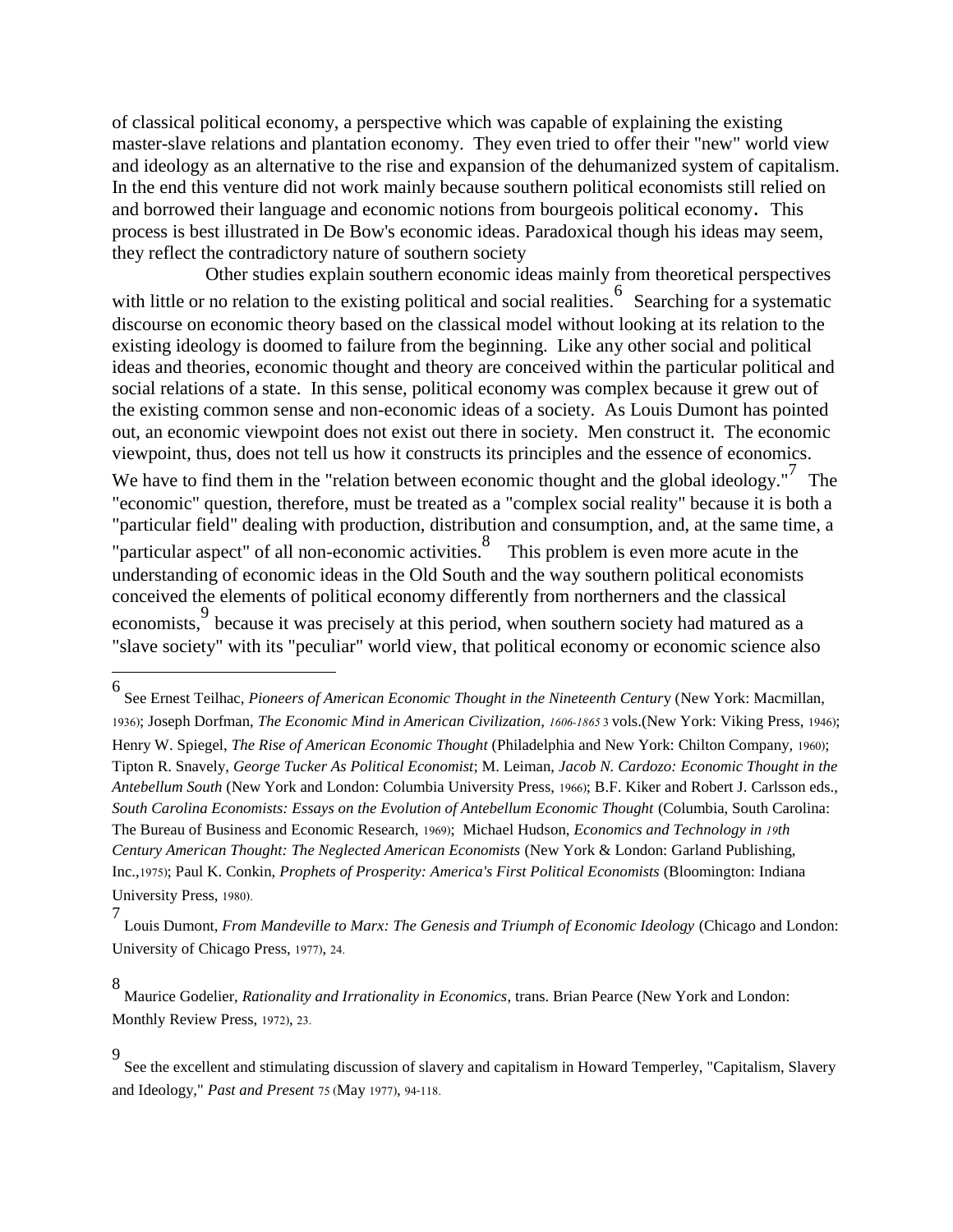of classical political economy, a perspective which was capable of explaining the existing master-slave relations and plantation economy. They even tried to offer their "new" world view and ideology as an alternative to the rise and expansion of the dehumanized system of capitalism. In the end this venture did not work mainly because southern political economists still relied on and borrowed their language and economic notions from bourgeois political economy. This process is best illustrated in De Bow's economic ideas. Paradoxical though his ideas may seem, they reflect the contradictory nature of southern society

 Other studies explain southern economic ideas mainly from theoretical perspectives with little or no relation to the existing political and social realities. Searching for a systematic discourse on economic theory based on the classical model without looking at its relation to the existing ideology is doomed to failure from the beginning. Like any other social and political ideas and theories, economic thought and theory are conceived within the particular political and social relations of a state. In this sense, political economy was complex because it grew out of the existing common sense and non-economic ideas of a society. As Louis Dumont has pointed out, an economic viewpoint does not exist out there in society. Men construct it. The economic viewpoint, thus, does not tell us how it constructs its principles and the essence of economics. We have to find them in the "relation between economic thought and the global ideology."<sup>7</sup> The "economic" question, therefore, must be treated as a "complex social reality" because it is both a "particular field" dealing with production, distribution and consumption, and, at the same time, a "particular aspect" of all non-economic activities.<sup>8</sup> This problem is even more acute in the understanding of economic ideas in the Old South and the way southern political economists conceived the elements of political economy differently from northerners and the classical economists, because it was precisely at this period, when southern society had matured as a "slave society" with its "peculiar" world view, that political economy or economic science also

<sup>6</sup> See Ernest Teilhac, *Pioneers of American Economic Thought in the Nineteenth Centur*y (New York: Macmillan, 1936); Joseph Dorfman, *The Economic Mind in American Civilization, 1606-1865*3 vols.(New York: Viking Press, 1946); Henry W. Spiegel, *The Rise of American Economic Thought* (Philadelphia and New York: Chilton Company, 1960); Tipton R. Snavely, *George Tucker As Political Economist*; M. Leiman, *Jacob N. Cardozo: Economic Thought in the Antebellum South* (New York and London: Columbia University Press, 1966); B.F. Kiker and Robert J. Carlsson eds., *South Carolina Economists: Essays on the Evolution of Antebellum Economic Thought* (Columbia, South Carolina: The Bureau of Business and Economic Research, 1969); Michael Hudson, *Economics and Technology in 19th Century American Thought: The Neglected American Economists* (New York & London: Garland Publishing, Inc.,1975); Paul K. Conkin, *Prophets of Prosperity: America's First Political Economists* (Bloomington: Indiana University Press, 1980).

<sup>7</sup> Louis Dumont, *From Mandeville to Marx: The Genesis and Triumph of Economic Ideology* (Chicago and London: University of Chicago Press, 1977), 24.

<sup>8</sup> Maurice Godelier, *Rationality and Irrationality in Economics*, trans. Brian Pearce (New York and London: Monthly Review Press, 1972), 23.

<sup>9</sup> See the excellent and stimulating discussion of slavery and capitalism in Howard Temperley, "Capitalism, Slavery and Ideology," *Past and Present* 75 (May 1977), 94-118.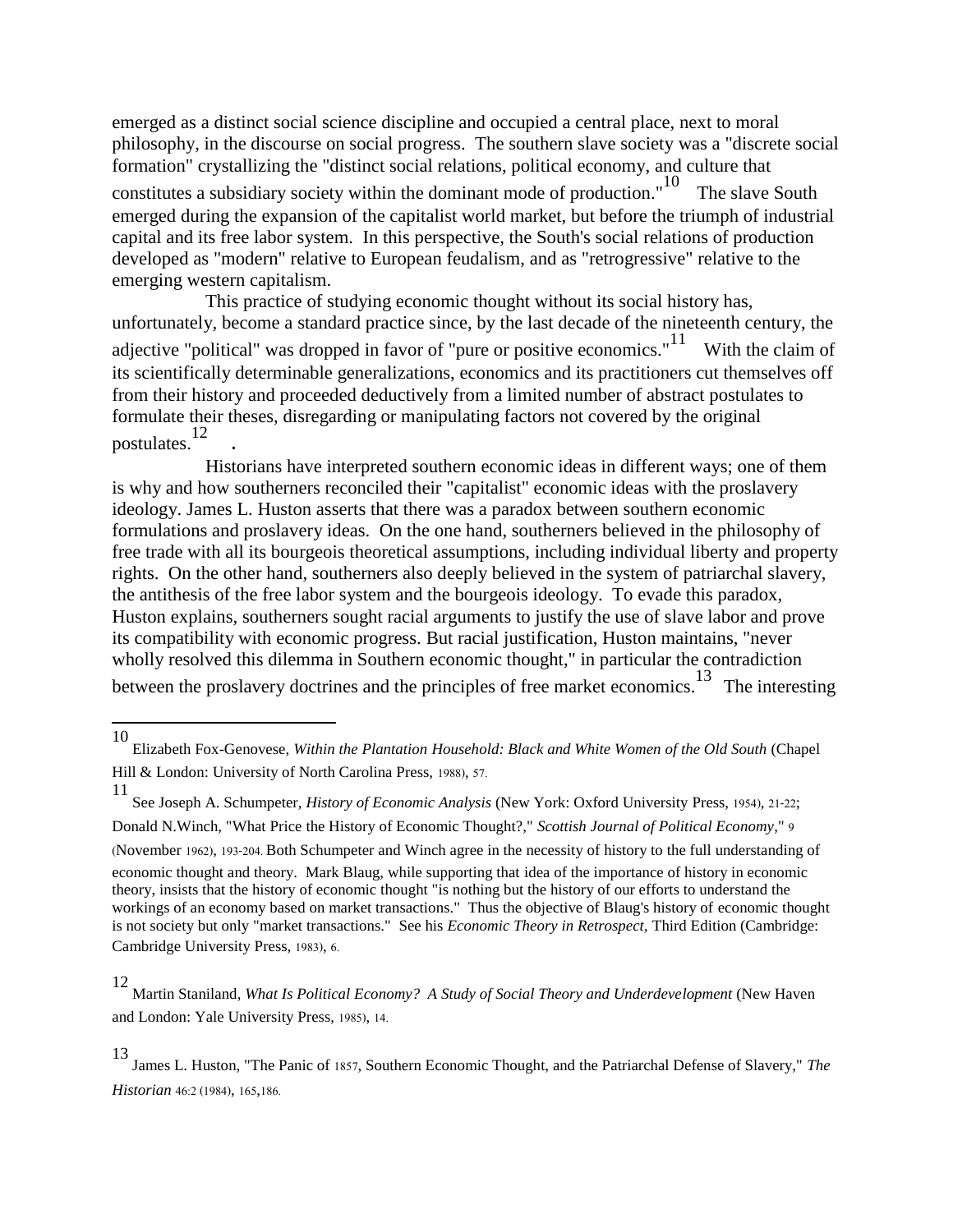emerged as a distinct social science discipline and occupied a central place, next to moral philosophy, in the discourse on social progress. The southern slave society was a "discrete social formation" crystallizing the "distinct social relations, political economy, and culture that constitutes a subsidiary society within the dominant mode of production."<sup>10</sup> The slave South emerged during the expansion of the capitalist world market, but before the triumph of industrial capital and its free labor system. In this perspective, the South's social relations of production developed as "modern" relative to European feudalism, and as "retrogressive" relative to the emerging western capitalism.

 This practice of studying economic thought without its social history has, unfortunately, become a standard practice since, by the last decade of the nineteenth century, the adjective "political" was dropped in favor of "pure or positive economics." $11$  With the claim of its scientifically determinable generalizations, economics and its practitioners cut themselves off from their history and proceeded deductively from a limited number of abstract postulates to formulate their theses, disregarding or manipulating factors not covered by the original postulates.<sup>12</sup> .

 Historians have interpreted southern economic ideas in different ways; one of them is why and how southerners reconciled their "capitalist" economic ideas with the proslavery ideology. James L. Huston asserts that there was a paradox between southern economic formulations and proslavery ideas. On the one hand, southerners believed in the philosophy of free trade with all its bourgeois theoretical assumptions, including individual liberty and property rights. On the other hand, southerners also deeply believed in the system of patriarchal slavery, the antithesis of the free labor system and the bourgeois ideology. To evade this paradox, Huston explains, southerners sought racial arguments to justify the use of slave labor and prove its compatibility with economic progress. But racial justification, Huston maintains, "never wholly resolved this dilemma in Southern economic thought," in particular the contradiction between the proslavery doctrines and the principles of free market economics.<sup>13</sup> The interesting

 $\overline{\phantom{a}}$ 

<sup>10</sup> Elizabeth Fox-Genovese, *Within the Plantation Household: Black and White Women of the Old South* (Chapel Hill & London: University of North Carolina Press, 1988), 57.

<sup>11</sup> See Joseph A. Schumpeter, *History of Economic Analysis* (New York: Oxford University Press, 1954), 21-22;

Donald N.Winch, "What Price the History of Economic Thought?," *Scottish Journal of Political Economy*," 9

<sup>(</sup>November 1962), 193-204. Both Schumpeter and Winch agree in the necessity of history to the full understanding of economic thought and theory. Mark Blaug, while supporting that idea of the importance of history in economic theory, insists that the history of economic thought "is nothing but the history of our efforts to understand the workings of an economy based on market transactions." Thus the objective of Blaug's history of economic thought is not society but only "market transactions." See his *Economic Theory in Retrospect,* Third Edition (Cambridge: Cambridge University Press, 1983), 6.

<sup>12</sup> Martin Staniland, *What Is Political Economy? A Study of Social Theory and Underdevelopment* (New Haven and London: Yale University Press, 1985), 14.

<sup>13</sup> James L. Huston, "The Panic of 1857, Southern Economic Thought, and the Patriarchal Defense of Slavery," *The Historian* 46:2 (1984), 165,186.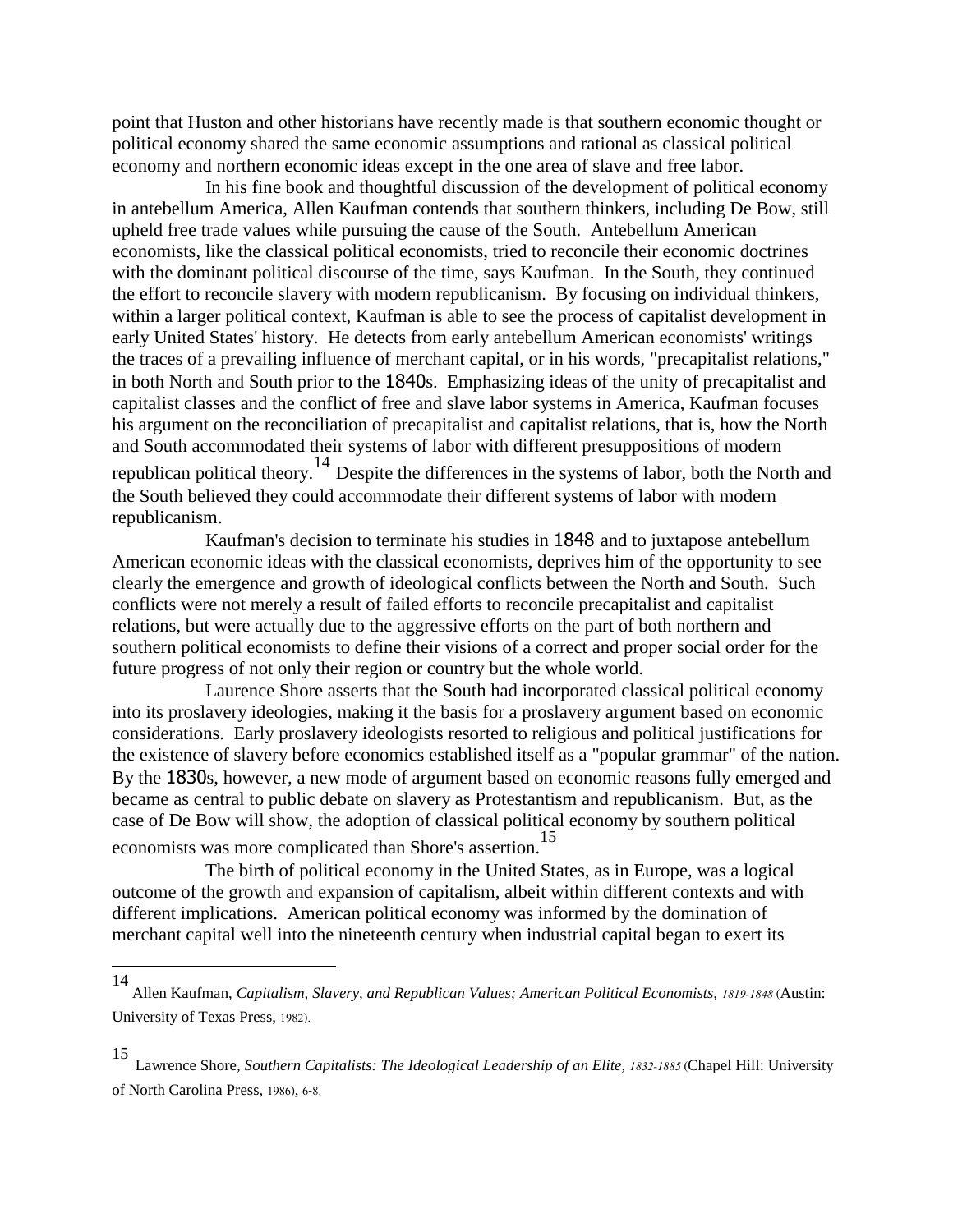point that Huston and other historians have recently made is that southern economic thought or political economy shared the same economic assumptions and rational as classical political economy and northern economic ideas except in the one area of slave and free labor.

 In his fine book and thoughtful discussion of the development of political economy in antebellum America, Allen Kaufman contends that southern thinkers, including De Bow, still upheld free trade values while pursuing the cause of the South. Antebellum American economists, like the classical political economists, tried to reconcile their economic doctrines with the dominant political discourse of the time, says Kaufman. In the South, they continued the effort to reconcile slavery with modern republicanism. By focusing on individual thinkers, within a larger political context, Kaufman is able to see the process of capitalist development in early United States' history. He detects from early antebellum American economists' writings the traces of a prevailing influence of merchant capital, or in his words, "precapitalist relations," in both North and South prior to the 1840s. Emphasizing ideas of the unity of precapitalist and capitalist classes and the conflict of free and slave labor systems in America, Kaufman focuses his argument on the reconciliation of precapitalist and capitalist relations, that is, how the North and South accommodated their systems of labor with different presuppositions of modern republican political theory.<sup>14</sup> Despite the differences in the systems of labor, both the North and the South believed they could accommodate their different systems of labor with modern republicanism.

 Kaufman's decision to terminate his studies in 1848 and to juxtapose antebellum American economic ideas with the classical economists, deprives him of the opportunity to see clearly the emergence and growth of ideological conflicts between the North and South. Such conflicts were not merely a result of failed efforts to reconcile precapitalist and capitalist relations, but were actually due to the aggressive efforts on the part of both northern and southern political economists to define their visions of a correct and proper social order for the future progress of not only their region or country but the whole world.

 Laurence Shore asserts that the South had incorporated classical political economy into its proslavery ideologies, making it the basis for a proslavery argument based on economic considerations. Early proslavery ideologists resorted to religious and political justifications for the existence of slavery before economics established itself as a "popular grammar" of the nation. By the 1830s, however, a new mode of argument based on economic reasons fully emerged and became as central to public debate on slavery as Protestantism and republicanism. But, as the case of De Bow will show, the adoption of classical political economy by southern political economists was more complicated than Shore's assertion.<sup>15</sup>

 The birth of political economy in the United States, as in Europe, was a logical outcome of the growth and expansion of capitalism, albeit within different contexts and with different implications. American political economy was informed by the domination of merchant capital well into the nineteenth century when industrial capital began to exert its

<sup>14</sup> Allen Kaufman, *Capitalism, Slavery, and Republican Values; American Political Economists, 1819-1848* (Austin: University of Texas Press, 1982).

<sup>15</sup>

Lawrence Shore, Southern Capitalists: The Ideological Leadership of an Elite, 1832-1885 (Chapel Hill: University of North Carolina Press, 1986), 6-8.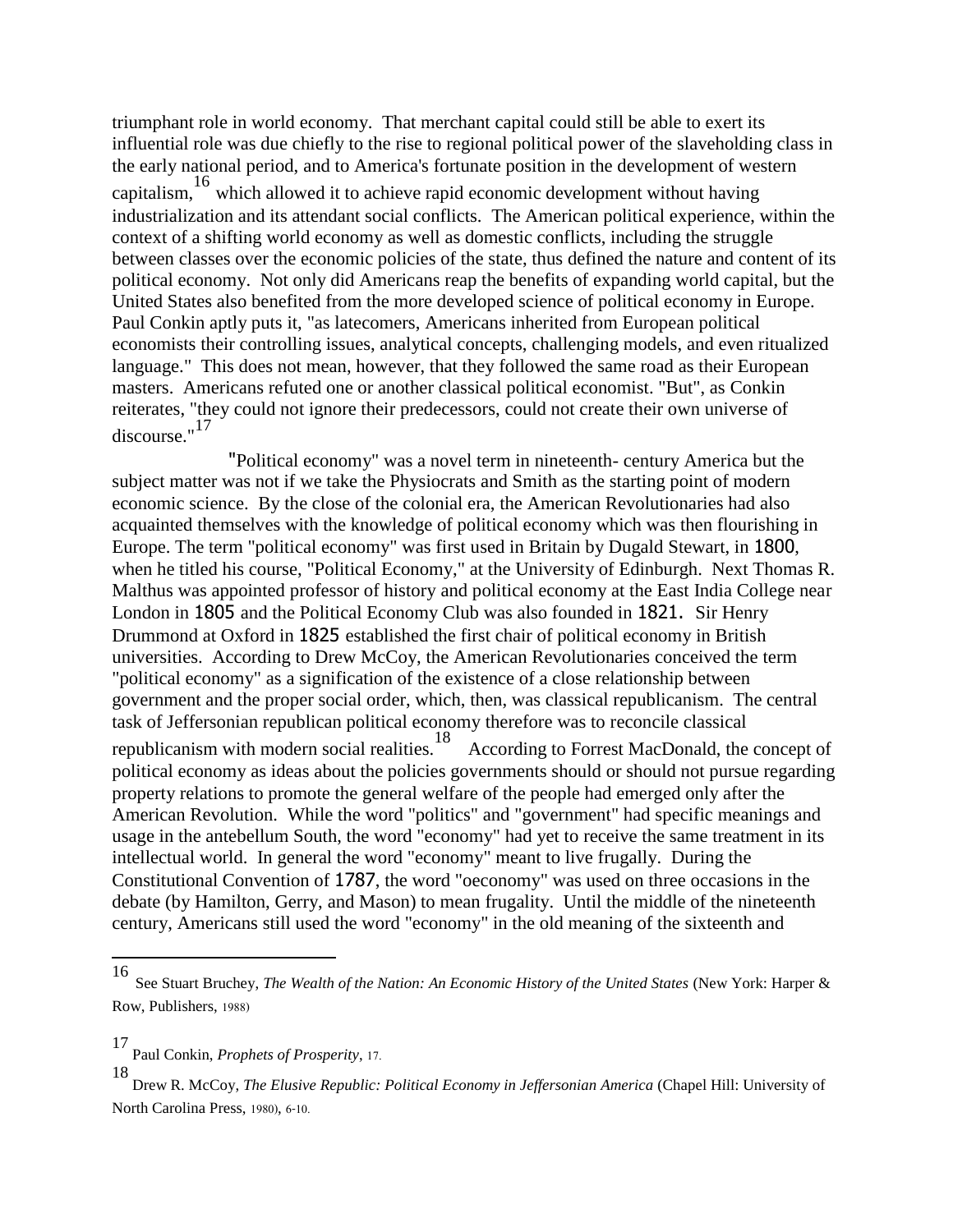triumphant role in world economy. That merchant capital could still be able to exert its influential role was due chiefly to the rise to regional political power of the slaveholding class in the early national period, and to America's fortunate position in the development of western capitalism,<sup>16</sup> which allowed it to achieve rapid economic development without having industrialization and its attendant social conflicts. The American political experience, within the context of a shifting world economy as well as domestic conflicts, including the struggle between classes over the economic policies of the state, thus defined the nature and content of its political economy. Not only did Americans reap the benefits of expanding world capital, but the United States also benefited from the more developed science of political economy in Europe. Paul Conkin aptly puts it, "as latecomers, Americans inherited from European political economists their controlling issues, analytical concepts, challenging models, and even ritualized language." This does not mean, however, that they followed the same road as their European masters. Americans refuted one or another classical political economist. "But", as Conkin reiterates, "they could not ignore their predecessors, could not create their own universe of discourse."<sup>17</sup>

 "Political economy" was a novel term in nineteenth- century America but the subject matter was not if we take the Physiocrats and Smith as the starting point of modern economic science. By the close of the colonial era, the American Revolutionaries had also acquainted themselves with the knowledge of political economy which was then flourishing in Europe. The term "political economy" was first used in Britain by Dugald Stewart, in 1800, when he titled his course, "Political Economy," at the University of Edinburgh. Next Thomas R. Malthus was appointed professor of history and political economy at the East India College near London in 1805 and the Political Economy Club was also founded in 1821. Sir Henry Drummond at Oxford in 1825 established the first chair of political economy in British universities. According to Drew McCoy, the American Revolutionaries conceived the term "political economy" as a signification of the existence of a close relationship between government and the proper social order, which, then, was classical republicanism. The central task of Jeffersonian republican political economy therefore was to reconcile classical republicanism with modern social realities.<sup>18</sup> According to Forrest MacDonald, the concept of political economy as ideas about the policies governments should or should not pursue regarding property relations to promote the general welfare of the people had emerged only after the American Revolution. While the word "politics" and "government" had specific meanings and usage in the antebellum South, the word "economy" had yet to receive the same treatment in its intellectual world. In general the word "economy" meant to live frugally. During the Constitutional Convention of 1787, the word "oeconomy" was used on three occasions in the debate (by Hamilton, Gerry, and Mason) to mean frugality. Until the middle of the nineteenth century, Americans still used the word "economy" in the old meaning of the sixteenth and

<sup>16</sup> See Stuart Bruchey, *The Wealth of the Nation: An Economic History of the United States* (New York: Harper & Row, Publishers, 1988)

<sup>17</sup> Paul Conkin, *Prophets of Prosperity*, 17.

<sup>18</sup> Drew R. McCoy, *The Elusive Republic: Political Economy in Jeffersonian America* (Chapel Hill: University of North Carolina Press, 1980), 6-10.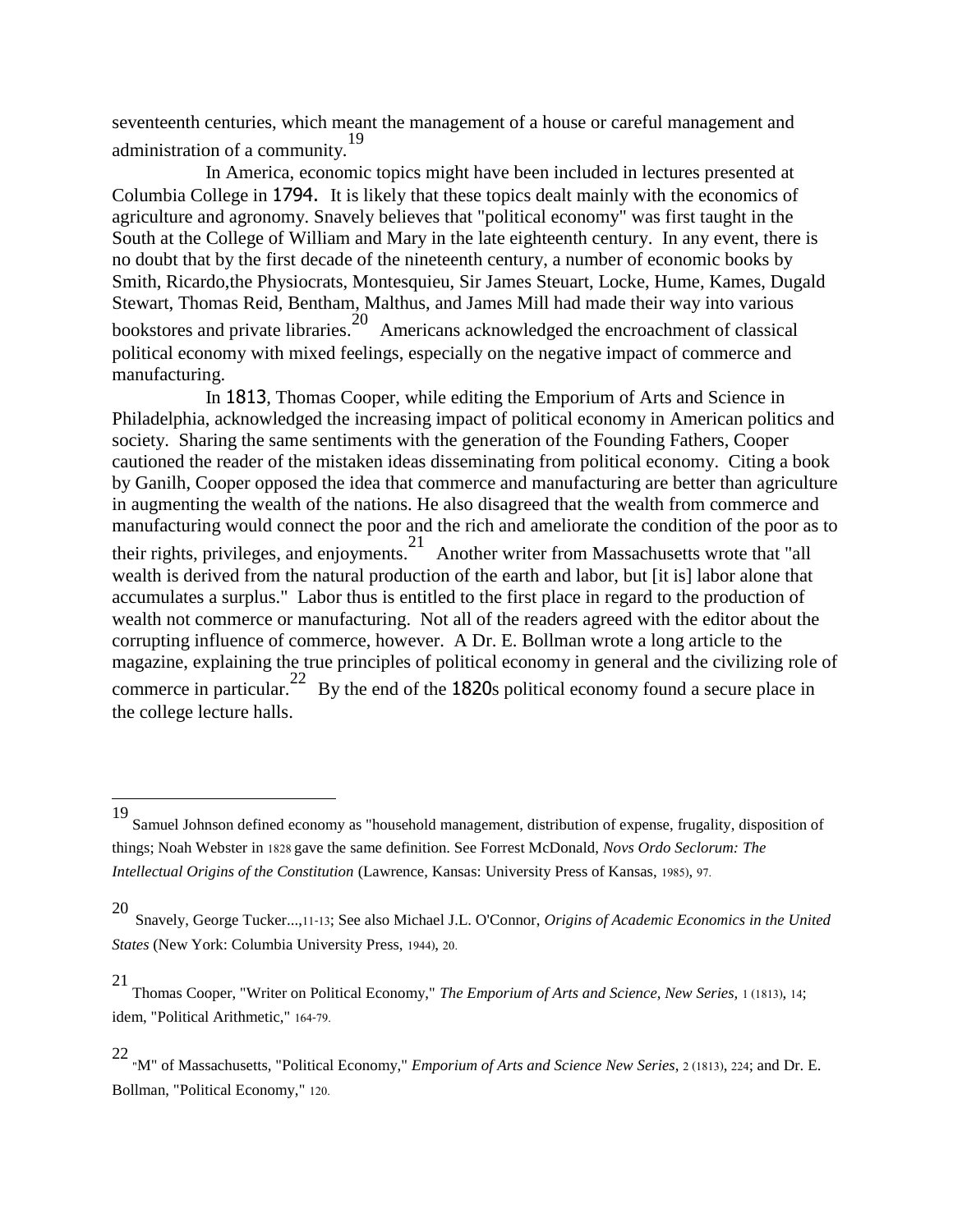seventeenth centuries, which meant the management of a house or careful management and administration of a community.<sup>19</sup>

 In America, economic topics might have been included in lectures presented at Columbia College in 1794. It is likely that these topics dealt mainly with the economics of agriculture and agronomy. Snavely believes that "political economy" was first taught in the South at the College of William and Mary in the late eighteenth century. In any event, there is no doubt that by the first decade of the nineteenth century, a number of economic books by Smith, Ricardo,the Physiocrats, Montesquieu, Sir James Steuart, Locke, Hume, Kames, Dugald Stewart, Thomas Reid, Bentham, Malthus, and James Mill had made their way into various bookstores and private libraries.  $\frac{20}{20}$  Americans acknowledged the encroachment of classical political economy with mixed feelings, especially on the negative impact of commerce and manufacturing.

 In 1813, Thomas Cooper, while editing the Emporium of Arts and Science in Philadelphia, acknowledged the increasing impact of political economy in American politics and society. Sharing the same sentiments with the generation of the Founding Fathers, Cooper cautioned the reader of the mistaken ideas disseminating from political economy. Citing a book by Ganilh, Cooper opposed the idea that commerce and manufacturing are better than agriculture in augmenting the wealth of the nations. He also disagreed that the wealth from commerce and manufacturing would connect the poor and the rich and ameliorate the condition of the poor as to their rights, privileges, and enjoyments.<sup>21</sup> Another writer from Massachusetts wrote that "all wealth is derived from the natural production of the earth and labor, but [it is] labor alone that accumulates a surplus." Labor thus is entitled to the first place in regard to the production of wealth not commerce or manufacturing. Not all of the readers agreed with the editor about the corrupting influence of commerce, however. A Dr. E. Bollman wrote a long article to the magazine, explaining the true principles of political economy in general and the civilizing role of commerce in particular.<sup>22</sup> By the end of the 1820s political economy found a secure place in the college lecture halls.

 $\overline{a}$ 

<sup>19</sup> Samuel Johnson defined economy as "household management, distribution of expense, frugality, disposition of things; Noah Webster in 1828 gave the same definition. See Forrest McDonald, *Novs Ordo Seclorum: The Intellectual Origins of the Constitution* (Lawrence, Kansas: University Press of Kansas, 1985), 97.

<sup>20</sup> Snavely, George Tucker...,11-13; See also Michael J.L. O'Connor, *Origins of Academic Economics in the United States* (New York: Columbia University Press, 1944), 20.

<sup>21</sup> Thomas Cooper, "Writer on Political Economy," *The Emporium of Arts and Science, New Series,* 1 (1813), 14; idem, "Political Arithmetic," 164-79.

<sup>22</sup> "M" of Massachusetts, "Political Economy," *Emporium of Arts and Science New Series*, 2 (1813), 224; and Dr. E. Bollman, "Political Economy," 120.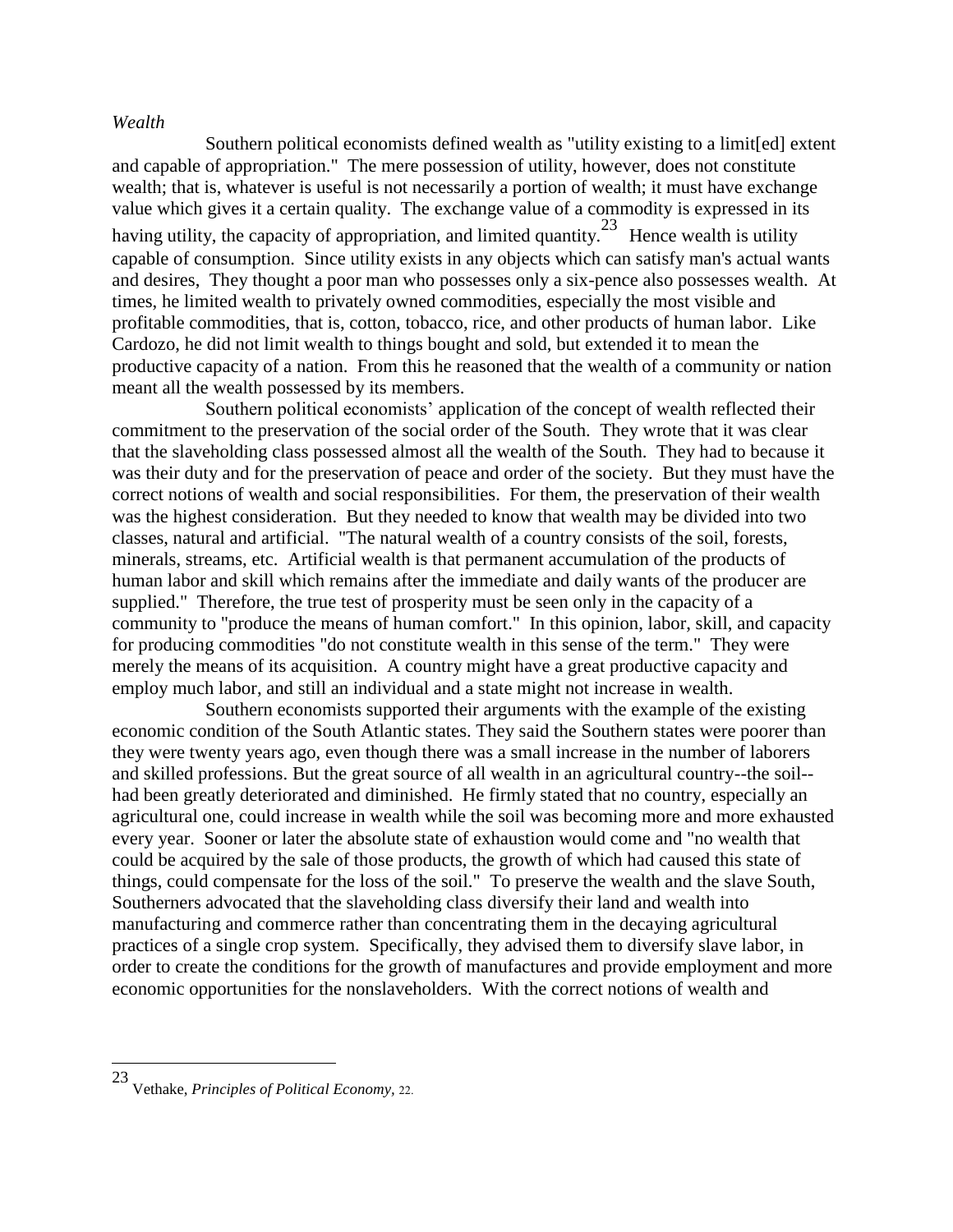### *Wealth*

 Southern political economists defined wealth as "utility existing to a limit[ed] extent and capable of appropriation." The mere possession of utility, however, does not constitute wealth; that is, whatever is useful is not necessarily a portion of wealth; it must have exchange value which gives it a certain quality. The exchange value of a commodity is expressed in its having utility, the capacity of appropriation, and limited quantity.<sup>23</sup> Hence wealth is utility capable of consumption. Since utility exists in any objects which can satisfy man's actual wants and desires, They thought a poor man who possesses only a six-pence also possesses wealth. At times, he limited wealth to privately owned commodities, especially the most visible and profitable commodities, that is, cotton, tobacco, rice, and other products of human labor. Like Cardozo, he did not limit wealth to things bought and sold, but extended it to mean the productive capacity of a nation. From this he reasoned that the wealth of a community or nation meant all the wealth possessed by its members.

 Southern political economists' application of the concept of wealth reflected their commitment to the preservation of the social order of the South. They wrote that it was clear that the slaveholding class possessed almost all the wealth of the South. They had to because it was their duty and for the preservation of peace and order of the society. But they must have the correct notions of wealth and social responsibilities. For them, the preservation of their wealth was the highest consideration. But they needed to know that wealth may be divided into two classes, natural and artificial. "The natural wealth of a country consists of the soil, forests, minerals, streams, etc. Artificial wealth is that permanent accumulation of the products of human labor and skill which remains after the immediate and daily wants of the producer are supplied." Therefore, the true test of prosperity must be seen only in the capacity of a community to "produce the means of human comfort." In this opinion, labor, skill, and capacity for producing commodities "do not constitute wealth in this sense of the term." They were merely the means of its acquisition. A country might have a great productive capacity and employ much labor, and still an individual and a state might not increase in wealth.

 Southern economists supported their arguments with the example of the existing economic condition of the South Atlantic states. They said the Southern states were poorer than they were twenty years ago, even though there was a small increase in the number of laborers and skilled professions. But the great source of all wealth in an agricultural country--the soil- had been greatly deteriorated and diminished. He firmly stated that no country, especially an agricultural one, could increase in wealth while the soil was becoming more and more exhausted every year. Sooner or later the absolute state of exhaustion would come and "no wealth that could be acquired by the sale of those products, the growth of which had caused this state of things, could compensate for the loss of the soil." To preserve the wealth and the slave South, Southerners advocated that the slaveholding class diversify their land and wealth into manufacturing and commerce rather than concentrating them in the decaying agricultural practices of a single crop system. Specifically, they advised them to diversify slave labor, in order to create the conditions for the growth of manufactures and provide employment and more economic opportunities for the nonslaveholders. With the correct notions of wealth and

<sup>23</sup> Vethake, *Principles of Political Economy,* 22.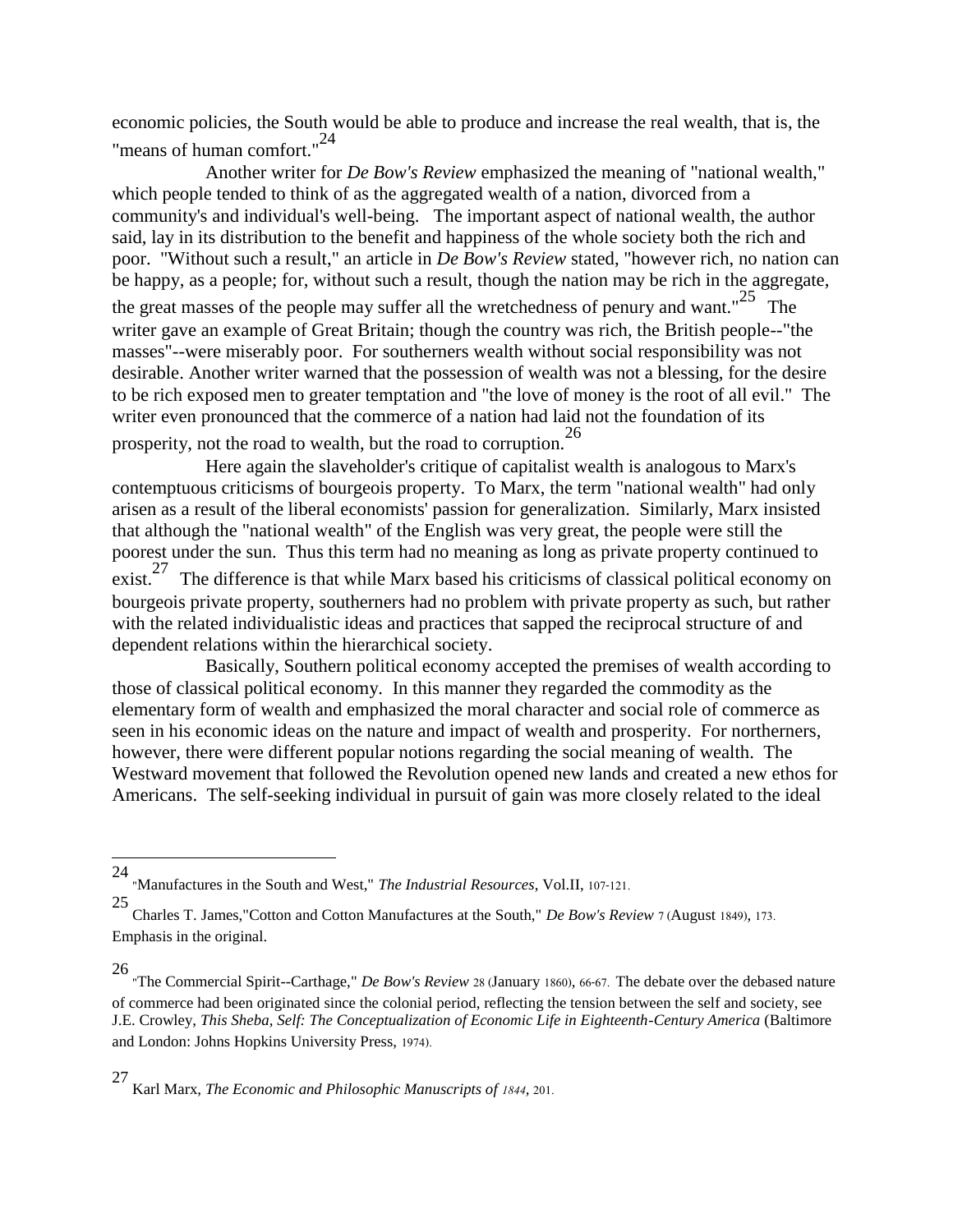economic policies, the South would be able to produce and increase the real wealth, that is, the "means of human comfort."<sup>24</sup>

 Another writer for *De Bow's Review* emphasized the meaning of "national wealth," which people tended to think of as the aggregated wealth of a nation, divorced from a community's and individual's well-being. The important aspect of national wealth, the author said, lay in its distribution to the benefit and happiness of the whole society both the rich and poor. "Without such a result," an article in *De Bow's Review* stated, "however rich, no nation can be happy, as a people; for, without such a result, though the nation may be rich in the aggregate,

the great masses of the people may suffer all the wretchedness of penury and want."<sup>25</sup> The writer gave an example of Great Britain; though the country was rich, the British people--"the masses"--were miserably poor. For southerners wealth without social responsibility was not desirable. Another writer warned that the possession of wealth was not a blessing, for the desire to be rich exposed men to greater temptation and "the love of money is the root of all evil." The writer even pronounced that the commerce of a nation had laid not the foundation of its prosperity, not the road to wealth, but the road to corruption.<sup>26</sup>

 Here again the slaveholder's critique of capitalist wealth is analogous to Marx's contemptuous criticisms of bourgeois property. To Marx, the term "national wealth" had only arisen as a result of the liberal economists' passion for generalization. Similarly, Marx insisted that although the "national wealth" of the English was very great, the people were still the poorest under the sun. Thus this term had no meaning as long as private property continued to  $\text{exist.}^{27}$  The difference is that while Marx based his criticisms of classical political economy on

bourgeois private property, southerners had no problem with private property as such, but rather with the related individualistic ideas and practices that sapped the reciprocal structure of and dependent relations within the hierarchical society.

 Basically, Southern political economy accepted the premises of wealth according to those of classical political economy. In this manner they regarded the commodity as the elementary form of wealth and emphasized the moral character and social role of commerce as seen in his economic ideas on the nature and impact of wealth and prosperity. For northerners, however, there were different popular notions regarding the social meaning of wealth. The Westward movement that followed the Revolution opened new lands and created a new ethos for Americans. The self-seeking individual in pursuit of gain was more closely related to the ideal

l

26 "The Commercial Spirit--Carthage," *De Bow's Review* 28 (January 1860), 66-67. The debate over the debased nature of commerce had been originated since the colonial period, reflecting the tension between the self and society, see J.E. Crowley, *This Sheba, Self: The Conceptualization of Economic Life in Eighteenth-Century America* (Baltimore and London: Johns Hopkins University Press, 1974).

<sup>24</sup> "Manufactures in the South and West," *The Industrial Resources*, Vol.II, 107-121.

<sup>25</sup> Charles T. James,"Cotton and Cotton Manufactures at the South," *De Bow's Review* 7 (August 1849), 173. Emphasis in the original.

<sup>27</sup> Karl Marx, *The Economic and Philosophic Manuscripts of 1844,* 201.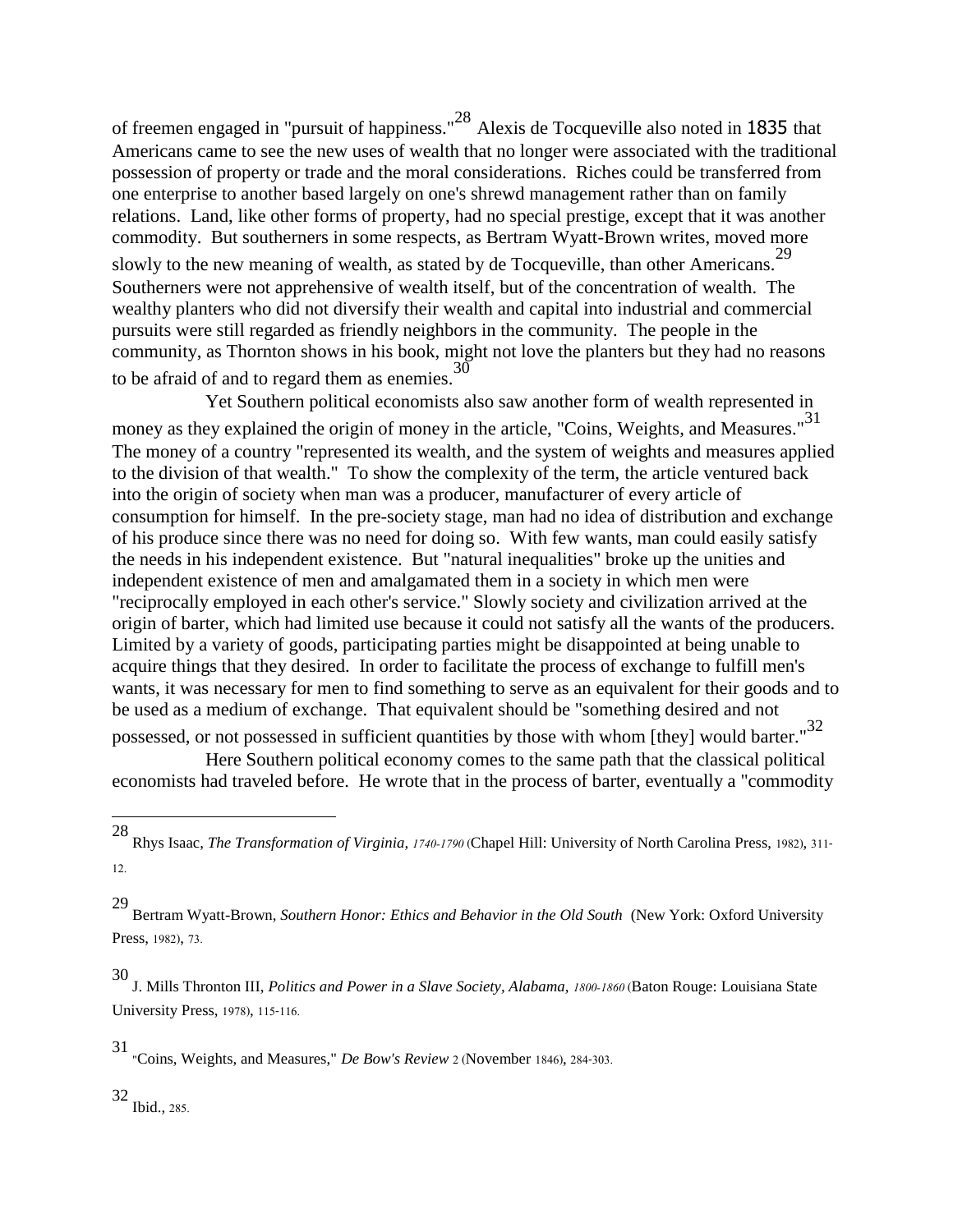of freemen engaged in "pursuit of happiness."<sup>28</sup> Alexis de Tocqueville also noted in 1835 that Americans came to see the new uses of wealth that no longer were associated with the traditional possession of property or trade and the moral considerations. Riches could be transferred from one enterprise to another based largely on one's shrewd management rather than on family relations. Land, like other forms of property, had no special prestige, except that it was another commodity. But southerners in some respects, as Bertram Wyatt-Brown writes, moved more slowly to the new meaning of wealth, as stated by de Tocqueville, than other Americans.<sup>29</sup> Southerners were not apprehensive of wealth itself, but of the concentration of wealth. The wealthy planters who did not diversify their wealth and capital into industrial and commercial pursuits were still regarded as friendly neighbors in the community. The people in the community, as Thornton shows in his book, might not love the planters but they had no reasons to be afraid of and to regard them as enemies.  $30$ 

 Yet Southern political economists also saw another form of wealth represented in money as they explained the origin of money in the article, "Coins, Weights, and Measures."<sup>31</sup> The money of a country "represented its wealth, and the system of weights and measures applied to the division of that wealth." To show the complexity of the term, the article ventured back into the origin of society when man was a producer, manufacturer of every article of consumption for himself. In the pre-society stage, man had no idea of distribution and exchange of his produce since there was no need for doing so. With few wants, man could easily satisfy the needs in his independent existence. But "natural inequalities" broke up the unities and independent existence of men and amalgamated them in a society in which men were "reciprocally employed in each other's service." Slowly society and civilization arrived at the origin of barter, which had limited use because it could not satisfy all the wants of the producers. Limited by a variety of goods, participating parties might be disappointed at being unable to acquire things that they desired. In order to facilitate the process of exchange to fulfill men's wants, it was necessary for men to find something to serve as an equivalent for their goods and to be used as a medium of exchange. That equivalent should be "something desired and not

possessed, or not possessed in sufficient quantities by those with whom [they] would barter."<sup>32</sup> Here Southern political economy comes to the same path that the classical political economists had traveled before. He wrote that in the process of barter, eventually a "commodity

 $\overline{\phantom{a}}$ 

32 Ibid., 285.

<sup>28</sup> Rhys Isaac, *The Transformation of Virginia, 1740-1790* (Chapel Hill: University of North Carolina Press, 1982), 311- 12.

<sup>29</sup> Bertram Wyatt-Brown, *Southern Honor: Ethics and Behavior in the Old South* (New York: Oxford University Press, 1982), 73.

<sup>30</sup> J. Mills Thronton III, *Politics and Power in a Slave Society, Alabama, 1800-1860* (Baton Rouge: Louisiana State University Press, 1978), 115-116.

<sup>31</sup> "Coins, Weights, and Measures," *De Bow's Review* 2 (November 1846), 284-303.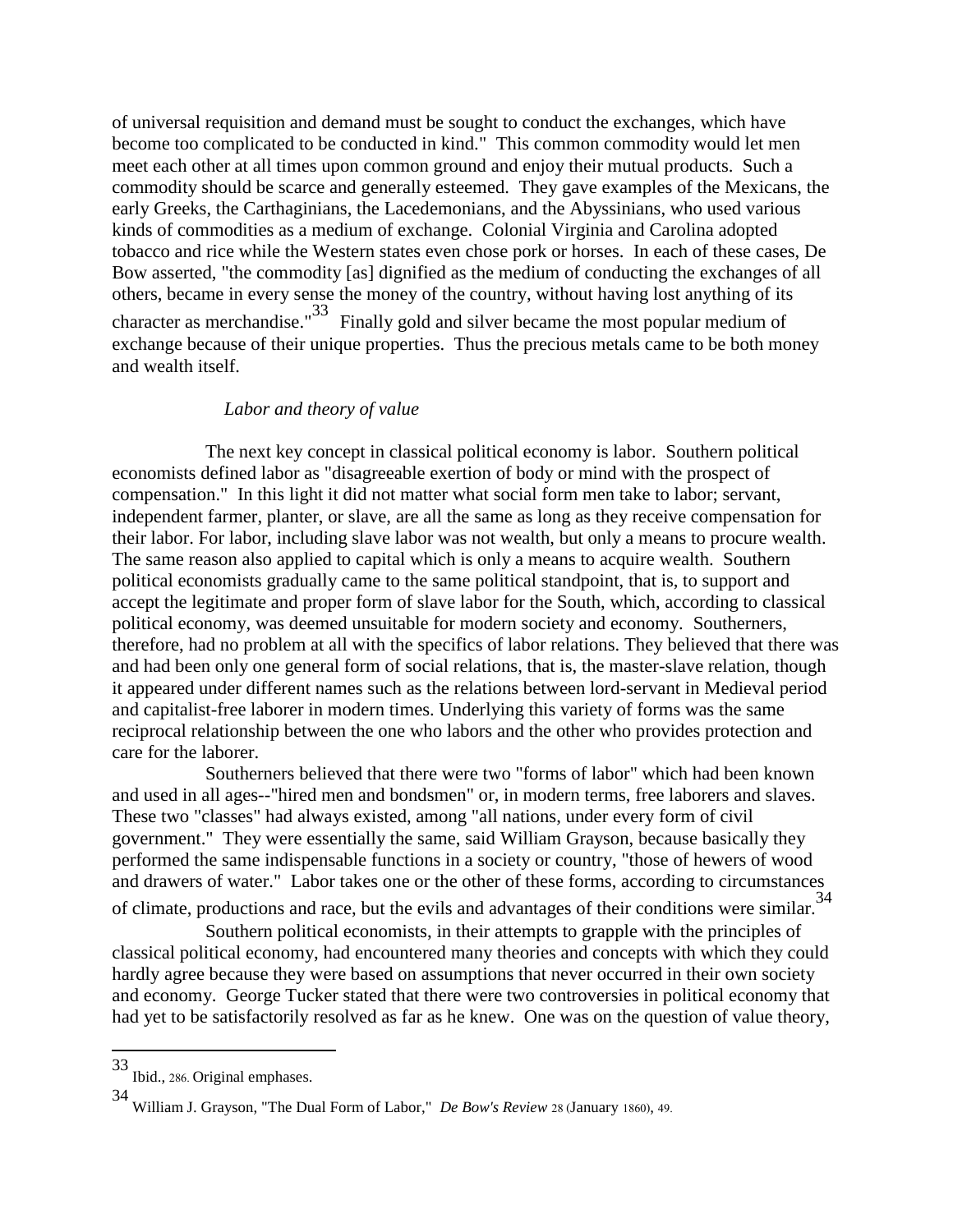of universal requisition and demand must be sought to conduct the exchanges, which have become too complicated to be conducted in kind." This common commodity would let men meet each other at all times upon common ground and enjoy their mutual products. Such a commodity should be scarce and generally esteemed. They gave examples of the Mexicans, the early Greeks, the Carthaginians, the Lacedemonians, and the Abyssinians, who used various kinds of commodities as a medium of exchange. Colonial Virginia and Carolina adopted tobacco and rice while the Western states even chose pork or horses. In each of these cases, De Bow asserted, "the commodity [as] dignified as the medium of conducting the exchanges of all others, became in every sense the money of the country, without having lost anything of its character as merchandise."<sup>33</sup> Finally gold and silver became the most popular medium of exchange because of their unique properties. Thus the precious metals came to be both money and wealth itself.

### *Labor and theory of value*

 The next key concept in classical political economy is labor. Southern political economists defined labor as "disagreeable exertion of body or mind with the prospect of compensation." In this light it did not matter what social form men take to labor; servant, independent farmer, planter, or slave, are all the same as long as they receive compensation for their labor. For labor, including slave labor was not wealth, but only a means to procure wealth. The same reason also applied to capital which is only a means to acquire wealth. Southern political economists gradually came to the same political standpoint, that is, to support and accept the legitimate and proper form of slave labor for the South, which, according to classical political economy, was deemed unsuitable for modern society and economy. Southerners, therefore, had no problem at all with the specifics of labor relations. They believed that there was and had been only one general form of social relations, that is, the master-slave relation, though it appeared under different names such as the relations between lord-servant in Medieval period and capitalist-free laborer in modern times. Underlying this variety of forms was the same reciprocal relationship between the one who labors and the other who provides protection and care for the laborer.

 Southerners believed that there were two "forms of labor" which had been known and used in all ages--"hired men and bondsmen" or, in modern terms, free laborers and slaves. These two "classes" had always existed, among "all nations, under every form of civil government." They were essentially the same, said William Grayson, because basically they performed the same indispensable functions in a society or country, "those of hewers of wood and drawers of water." Labor takes one or the other of these forms, according to circumstances of climate, productions and race, but the evils and advantages of their conditions were similar.<sup>34</sup>

 Southern political economists, in their attempts to grapple with the principles of classical political economy, had encountered many theories and concepts with which they could hardly agree because they were based on assumptions that never occurred in their own society and economy. George Tucker stated that there were two controversies in political economy that had yet to be satisfactorily resolved as far as he knew. One was on the question of value theory,

<sup>33</sup> Ibid., 286. Original emphases.

<sup>34</sup> William J. Grayson, "The Dual Form of Labor," *De Bow's Review* 28 (January 1860), 49.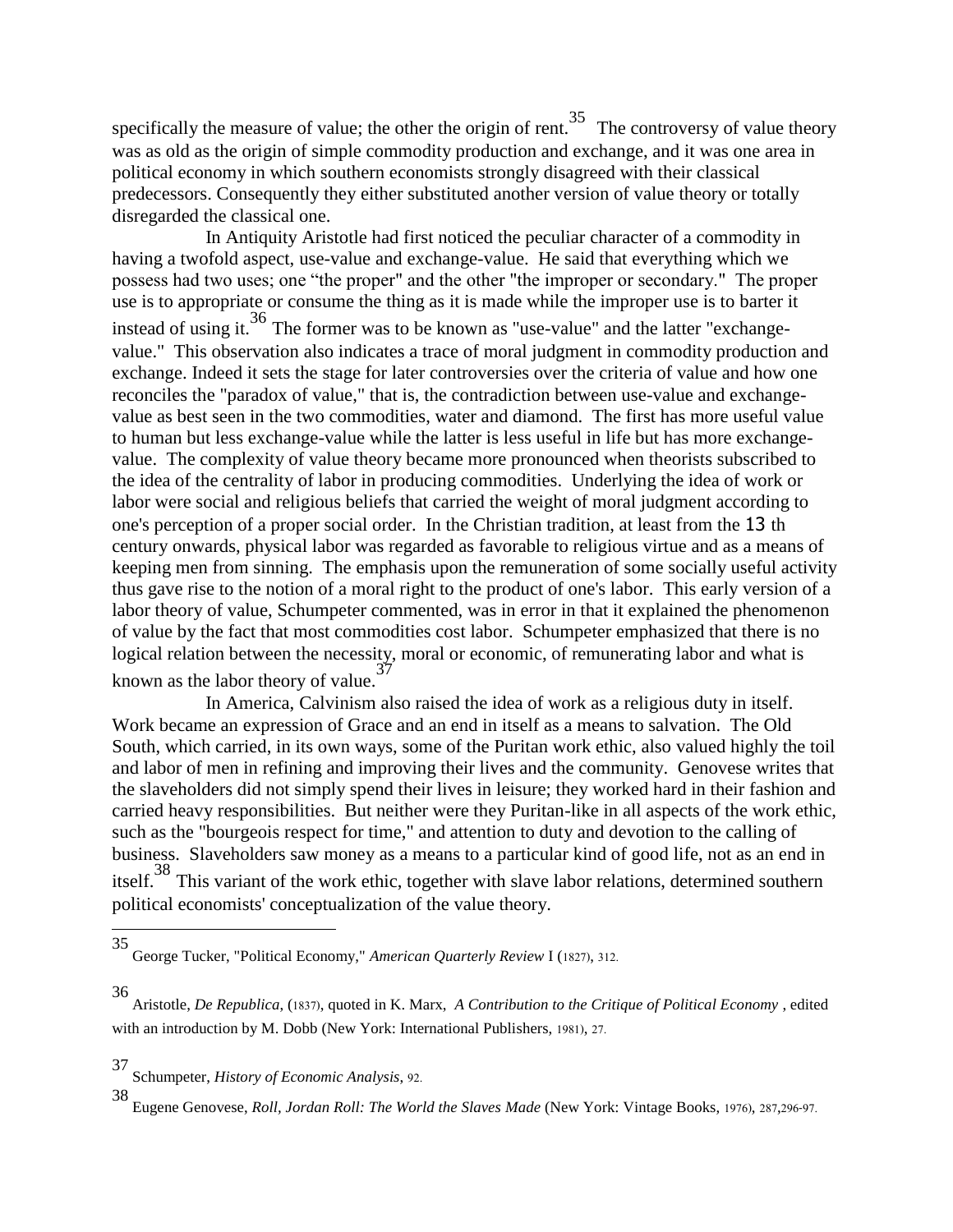specifically the measure of value; the other the origin of rent.<sup>35</sup> The controversy of value theory was as old as the origin of simple commodity production and exchange, and it was one area in political economy in which southern economists strongly disagreed with their classical predecessors. Consequently they either substituted another version of value theory or totally disregarded the classical one.

 In Antiquity Aristotle had first noticed the peculiar character of a commodity in having a twofold aspect, use-value and exchange-value. He said that everything which we possess had two uses; one "the proper" and the other "the improper or secondary." The proper use is to appropriate or consume the thing as it is made while the improper use is to barter it instead of using it.<sup>36</sup> The former was to be known as "use-value" and the latter "exchangevalue." This observation also indicates a trace of moral judgment in commodity production and exchange. Indeed it sets the stage for later controversies over the criteria of value and how one reconciles the "paradox of value," that is, the contradiction between use-value and exchangevalue as best seen in the two commodities, water and diamond. The first has more useful value to human but less exchange-value while the latter is less useful in life but has more exchangevalue. The complexity of value theory became more pronounced when theorists subscribed to the idea of the centrality of labor in producing commodities. Underlying the idea of work or labor were social and religious beliefs that carried the weight of moral judgment according to one's perception of a proper social order. In the Christian tradition, at least from the 13 th century onwards, physical labor was regarded as favorable to religious virtue and as a means of keeping men from sinning. The emphasis upon the remuneration of some socially useful activity thus gave rise to the notion of a moral right to the product of one's labor. This early version of a labor theory of value, Schumpeter commented, was in error in that it explained the phenomenon of value by the fact that most commodities cost labor. Schumpeter emphasized that there is no logical relation between the necessity, moral or economic, of remunerating labor and what is known as the labor theory of value.<sup>37</sup>

 In America, Calvinism also raised the idea of work as a religious duty in itself. Work became an expression of Grace and an end in itself as a means to salvation. The Old South, which carried, in its own ways, some of the Puritan work ethic, also valued highly the toil and labor of men in refining and improving their lives and the community. Genovese writes that the slaveholders did not simply spend their lives in leisure; they worked hard in their fashion and carried heavy responsibilities. But neither were they Puritan-like in all aspects of the work ethic, such as the "bourgeois respect for time," and attention to duty and devotion to the calling of business. Slaveholders saw money as a means to a particular kind of good life, not as an end in itself.<sup>38</sup> This variant of the work ethic, together with slave labor relations, determined southern political economists' conceptualization of the value theory.

<sup>35</sup> George Tucker, "Political Economy," *American Quarterly Review* I (1827), 312.

<sup>36</sup> Aristotle, *De Republica*, (1837), quoted in K. Marx, *A Contribution to the Critique of Political Economy* , edited with an introduction by M. Dobb (New York: International Publishers, 1981), 27.

<sup>37</sup> Schumpeter, *History of Economic Analysis*, 92.

<sup>38</sup> Eugene Genovese, *Roll, Jordan Roll: The World the Slaves Made* (New York: Vintage Books, 1976), 287,296-97.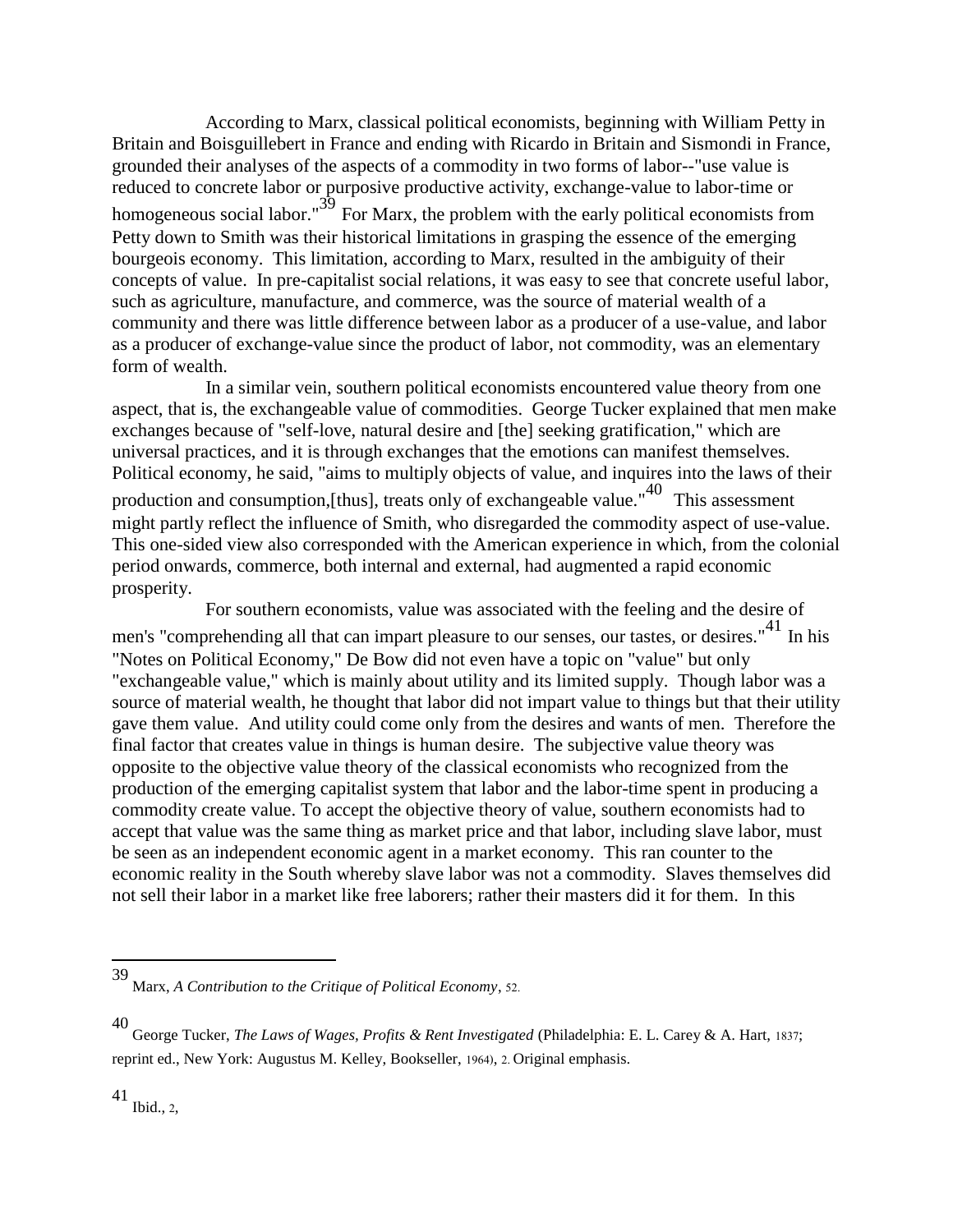According to Marx, classical political economists, beginning with William Petty in Britain and Boisguillebert in France and ending with Ricardo in Britain and Sismondi in France, grounded their analyses of the aspects of a commodity in two forms of labor--"use value is reduced to concrete labor or purposive productive activity, exchange-value to labor-time or homogeneous social labor." $\overline{39}$  For Marx, the problem with the early political economists from Petty down to Smith was their historical limitations in grasping the essence of the emerging bourgeois economy. This limitation, according to Marx, resulted in the ambiguity of their concepts of value. In pre-capitalist social relations, it was easy to see that concrete useful labor, such as agriculture, manufacture, and commerce, was the source of material wealth of a community and there was little difference between labor as a producer of a use-value, and labor as a producer of exchange-value since the product of labor, not commodity, was an elementary form of wealth.

 In a similar vein, southern political economists encountered value theory from one aspect, that is, the exchangeable value of commodities. George Tucker explained that men make exchanges because of "self-love, natural desire and [the] seeking gratification," which are universal practices, and it is through exchanges that the emotions can manifest themselves. Political economy, he said, "aims to multiply objects of value, and inquires into the laws of their production and consumption, [thus], treats only of exchangeable value." $40$  This assessment might partly reflect the influence of Smith, who disregarded the commodity aspect of use-value. This one-sided view also corresponded with the American experience in which, from the colonial period onwards, commerce, both internal and external, had augmented a rapid economic prosperity.

 For southern economists, value was associated with the feeling and the desire of men's "comprehending all that can impart pleasure to our senses, our tastes, or desires."<sup>41</sup> In his "Notes on Political Economy," De Bow did not even have a topic on "value" but only "exchangeable value," which is mainly about utility and its limited supply. Though labor was a source of material wealth, he thought that labor did not impart value to things but that their utility gave them value. And utility could come only from the desires and wants of men. Therefore the final factor that creates value in things is human desire. The subjective value theory was opposite to the objective value theory of the classical economists who recognized from the production of the emerging capitalist system that labor and the labor-time spent in producing a commodity create value. To accept the objective theory of value, southern economists had to accept that value was the same thing as market price and that labor, including slave labor, must be seen as an independent economic agent in a market economy. This ran counter to the economic reality in the South whereby slave labor was not a commodity. Slaves themselves did not sell their labor in a market like free laborers; rather their masters did it for them. In this

<sup>39</sup> Marx, *A Contribution to the Critique of Political Economy*, 52.

<sup>40</sup> George Tucker, *The Laws of Wages, Profits & Rent Investigated* (Philadelphia: E. L. Carey & A. Hart, 1837; reprint ed., New York: Augustus M. Kelley, Bookseller, 1964), 2. Original emphasis.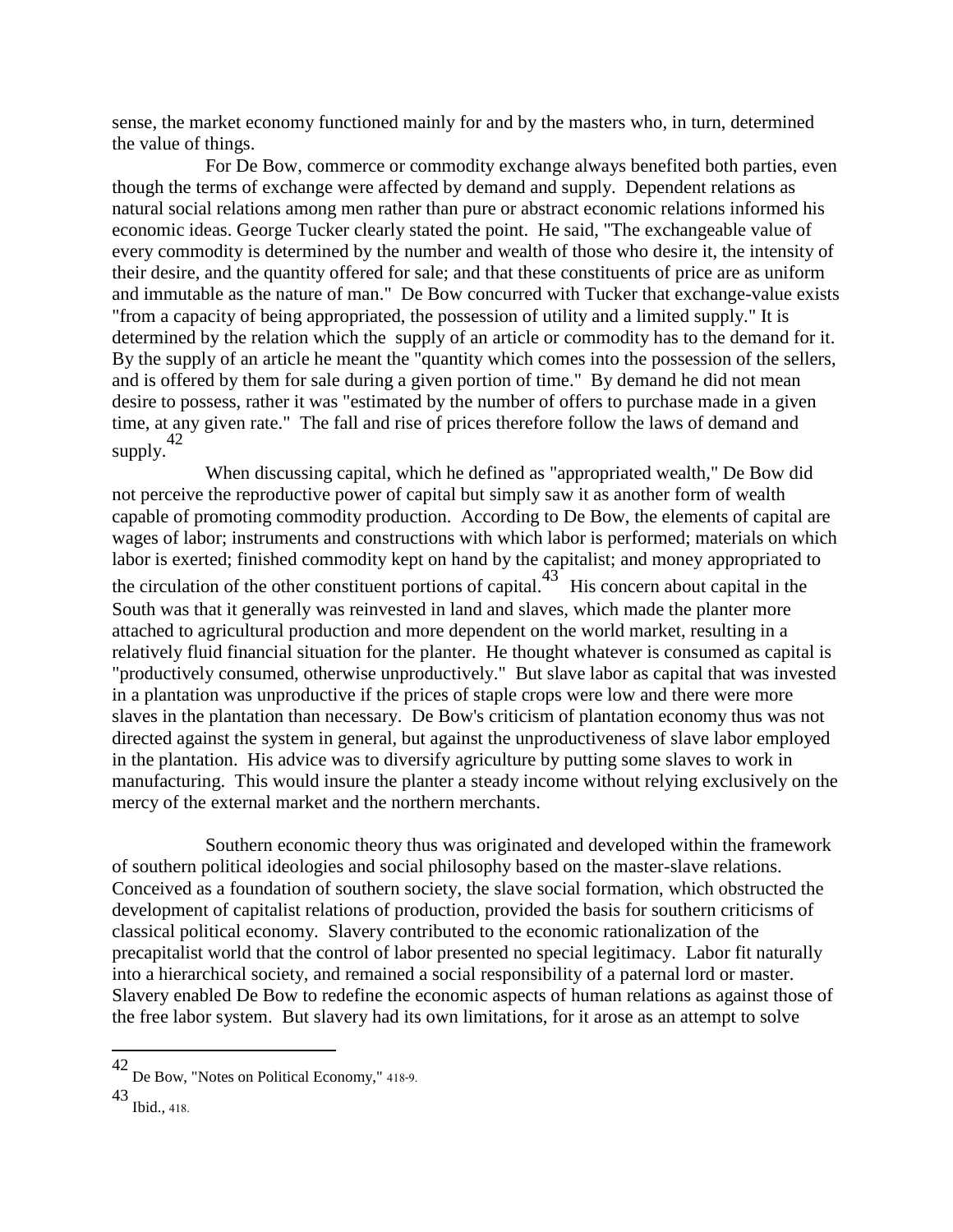sense, the market economy functioned mainly for and by the masters who, in turn, determined the value of things.

 For De Bow, commerce or commodity exchange always benefited both parties, even though the terms of exchange were affected by demand and supply. Dependent relations as natural social relations among men rather than pure or abstract economic relations informed his economic ideas. George Tucker clearly stated the point. He said, "The exchangeable value of every commodity is determined by the number and wealth of those who desire it, the intensity of their desire, and the quantity offered for sale; and that these constituents of price are as uniform and immutable as the nature of man." De Bow concurred with Tucker that exchange-value exists "from a capacity of being appropriated, the possession of utility and a limited supply." It is determined by the relation which the supply of an article or commodity has to the demand for it. By the supply of an article he meant the "quantity which comes into the possession of the sellers, and is offered by them for sale during a given portion of time." By demand he did not mean desire to possess, rather it was "estimated by the number of offers to purchase made in a given time, at any given rate." The fall and rise of prices therefore follow the laws of demand and supply. $42$ 

 When discussing capital, which he defined as "appropriated wealth," De Bow did not perceive the reproductive power of capital but simply saw it as another form of wealth capable of promoting commodity production. According to De Bow, the elements of capital are wages of labor; instruments and constructions with which labor is performed; materials on which labor is exerted; finished commodity kept on hand by the capitalist; and money appropriated to the circulation of the other constituent portions of capital. $43$  His concern about capital in the South was that it generally was reinvested in land and slaves, which made the planter more attached to agricultural production and more dependent on the world market, resulting in a relatively fluid financial situation for the planter. He thought whatever is consumed as capital is "productively consumed, otherwise unproductively." But slave labor as capital that was invested in a plantation was unproductive if the prices of staple crops were low and there were more slaves in the plantation than necessary. De Bow's criticism of plantation economy thus was not directed against the system in general, but against the unproductiveness of slave labor employed in the plantation. His advice was to diversify agriculture by putting some slaves to work in manufacturing. This would insure the planter a steady income without relying exclusively on the mercy of the external market and the northern merchants.

 Southern economic theory thus was originated and developed within the framework of southern political ideologies and social philosophy based on the master-slave relations. Conceived as a foundation of southern society, the slave social formation, which obstructed the development of capitalist relations of production, provided the basis for southern criticisms of classical political economy. Slavery contributed to the economic rationalization of the precapitalist world that the control of labor presented no special legitimacy. Labor fit naturally into a hierarchical society, and remained a social responsibility of a paternal lord or master. Slavery enabled De Bow to redefine the economic aspects of human relations as against those of the free labor system. But slavery had its own limitations, for it arose as an attempt to solve

<sup>42</sup> De Bow, "Notes on Political Economy," 418-9.

<sup>43</sup> Ibid., 418.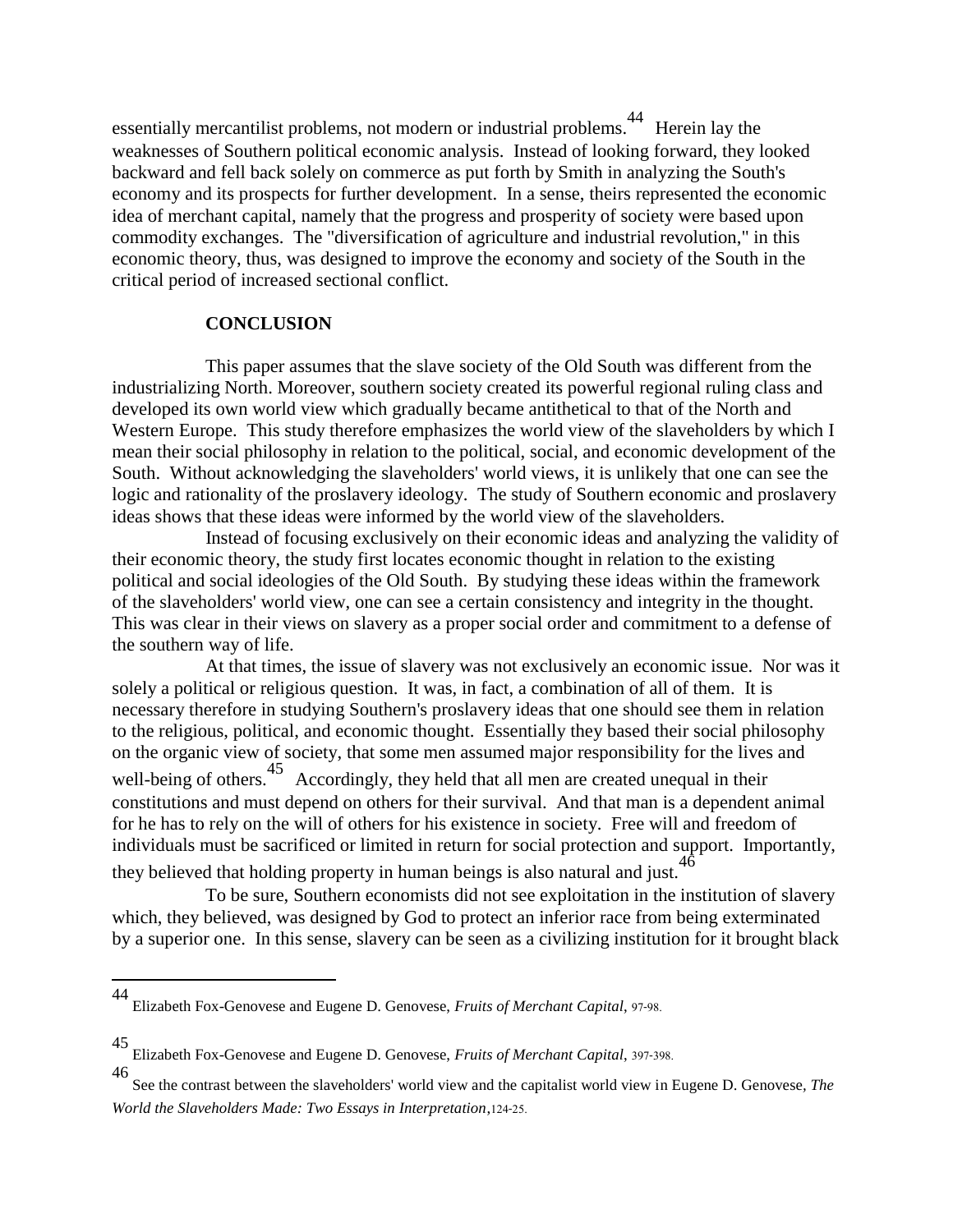essentially mercantilist problems, not modern or industrial problems.<sup>44</sup> Herein lay the weaknesses of Southern political economic analysis. Instead of looking forward, they looked backward and fell back solely on commerce as put forth by Smith in analyzing the South's economy and its prospects for further development. In a sense, theirs represented the economic idea of merchant capital, namely that the progress and prosperity of society were based upon commodity exchanges. The "diversification of agriculture and industrial revolution," in this economic theory, thus, was designed to improve the economy and society of the South in the critical period of increased sectional conflict.

### **CONCLUSION**

 This paper assumes that the slave society of the Old South was different from the industrializing North. Moreover, southern society created its powerful regional ruling class and developed its own world view which gradually became antithetical to that of the North and Western Europe. This study therefore emphasizes the world view of the slaveholders by which I mean their social philosophy in relation to the political, social, and economic development of the South. Without acknowledging the slaveholders' world views, it is unlikely that one can see the logic and rationality of the proslavery ideology. The study of Southern economic and proslavery ideas shows that these ideas were informed by the world view of the slaveholders.

 Instead of focusing exclusively on their economic ideas and analyzing the validity of their economic theory, the study first locates economic thought in relation to the existing political and social ideologies of the Old South. By studying these ideas within the framework of the slaveholders' world view, one can see a certain consistency and integrity in the thought. This was clear in their views on slavery as a proper social order and commitment to a defense of the southern way of life.

 At that times, the issue of slavery was not exclusively an economic issue. Nor was it solely a political or religious question. It was, in fact, a combination of all of them. It is necessary therefore in studying Southern's proslavery ideas that one should see them in relation to the religious, political, and economic thought. Essentially they based their social philosophy on the organic view of society, that some men assumed major responsibility for the lives and well-being of others.<sup>45</sup> Accordingly, they held that all men are created unequal in their constitutions and must depend on others for their survival. And that man is a dependent animal for he has to rely on the will of others for his existence in society. Free will and freedom of individuals must be sacrificed or limited in return for social protection and support. Importantly, they believed that holding property in human beings is also natural and just.<sup>46</sup>

 To be sure, Southern economists did not see exploitation in the institution of slavery which, they believed, was designed by God to protect an inferior race from being exterminated by a superior one. In this sense, slavery can be seen as a civilizing institution for it brought black

Elizabeth Fox-Genovese and Eugene D. Genovese, *Fruits of Merchant Capital*, 97-98.

<sup>45</sup> Elizabeth Fox-Genovese and Eugene D. Genovese, *Fruits of Merchant Capital*, 397-398.

<sup>46</sup> See the contrast between the slaveholders' world view and the capitalist world view in Eugene D. Genovese*, The World the Slaveholders Made: Two Essays in Interpretation*,124-25.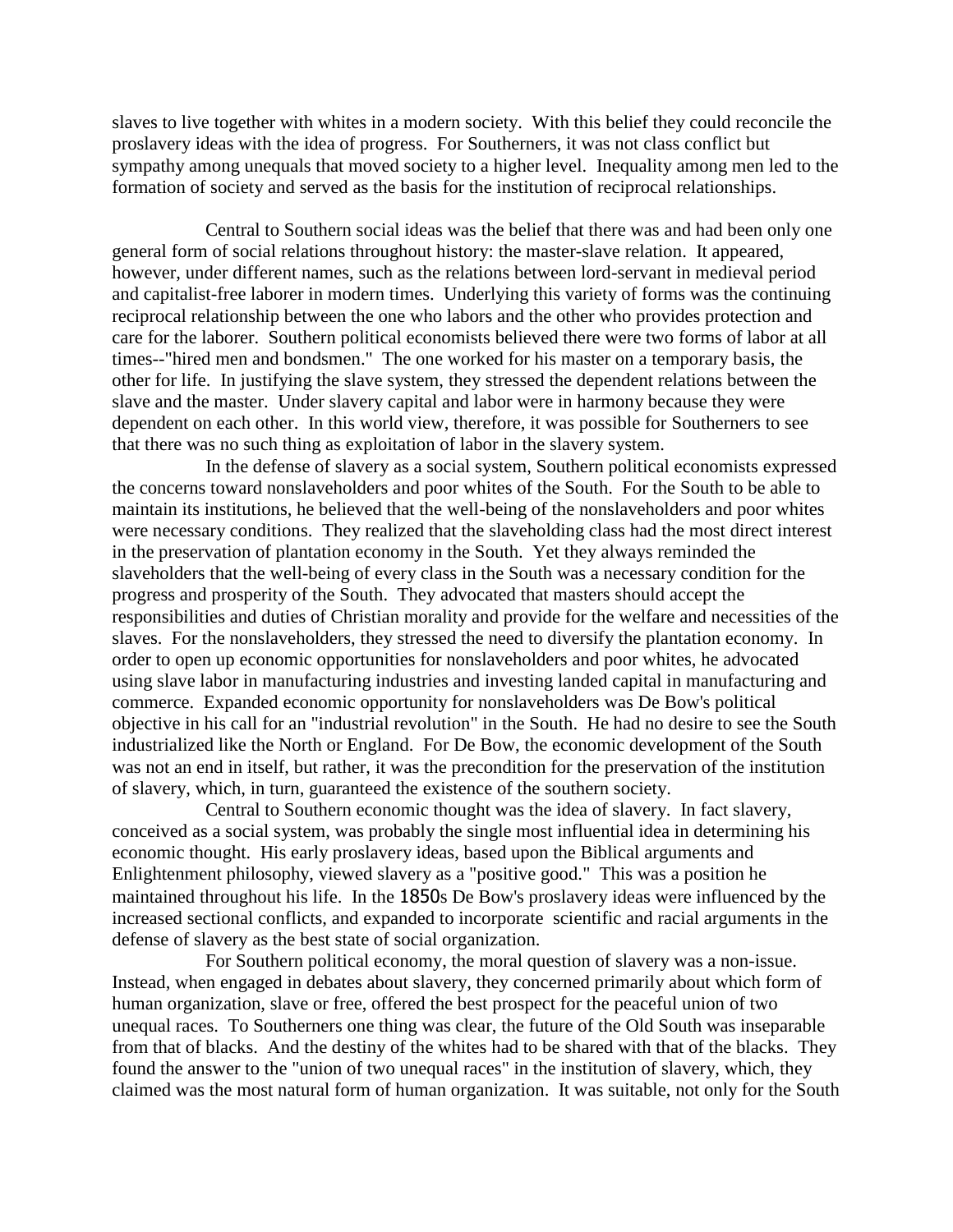slaves to live together with whites in a modern society. With this belief they could reconcile the proslavery ideas with the idea of progress. For Southerners, it was not class conflict but sympathy among unequals that moved society to a higher level. Inequality among men led to the formation of society and served as the basis for the institution of reciprocal relationships.

 Central to Southern social ideas was the belief that there was and had been only one general form of social relations throughout history: the master-slave relation. It appeared, however, under different names, such as the relations between lord-servant in medieval period and capitalist-free laborer in modern times. Underlying this variety of forms was the continuing reciprocal relationship between the one who labors and the other who provides protection and care for the laborer. Southern political economists believed there were two forms of labor at all times--"hired men and bondsmen." The one worked for his master on a temporary basis, the other for life. In justifying the slave system, they stressed the dependent relations between the slave and the master. Under slavery capital and labor were in harmony because they were dependent on each other. In this world view, therefore, it was possible for Southerners to see that there was no such thing as exploitation of labor in the slavery system.

 In the defense of slavery as a social system, Southern political economists expressed the concerns toward nonslaveholders and poor whites of the South. For the South to be able to maintain its institutions, he believed that the well-being of the nonslaveholders and poor whites were necessary conditions. They realized that the slaveholding class had the most direct interest in the preservation of plantation economy in the South. Yet they always reminded the slaveholders that the well-being of every class in the South was a necessary condition for the progress and prosperity of the South. They advocated that masters should accept the responsibilities and duties of Christian morality and provide for the welfare and necessities of the slaves. For the nonslaveholders, they stressed the need to diversify the plantation economy. In order to open up economic opportunities for nonslaveholders and poor whites, he advocated using slave labor in manufacturing industries and investing landed capital in manufacturing and commerce. Expanded economic opportunity for nonslaveholders was De Bow's political objective in his call for an "industrial revolution" in the South. He had no desire to see the South industrialized like the North or England. For De Bow, the economic development of the South was not an end in itself, but rather, it was the precondition for the preservation of the institution of slavery, which, in turn, guaranteed the existence of the southern society.

 Central to Southern economic thought was the idea of slavery. In fact slavery, conceived as a social system, was probably the single most influential idea in determining his economic thought. His early proslavery ideas, based upon the Biblical arguments and Enlightenment philosophy, viewed slavery as a "positive good." This was a position he maintained throughout his life. In the 1850s De Bow's proslavery ideas were influenced by the increased sectional conflicts, and expanded to incorporate scientific and racial arguments in the defense of slavery as the best state of social organization.

 For Southern political economy, the moral question of slavery was a non-issue. Instead, when engaged in debates about slavery, they concerned primarily about which form of human organization, slave or free, offered the best prospect for the peaceful union of two unequal races. To Southerners one thing was clear, the future of the Old South was inseparable from that of blacks. And the destiny of the whites had to be shared with that of the blacks. They found the answer to the "union of two unequal races" in the institution of slavery, which, they claimed was the most natural form of human organization. It was suitable, not only for the South